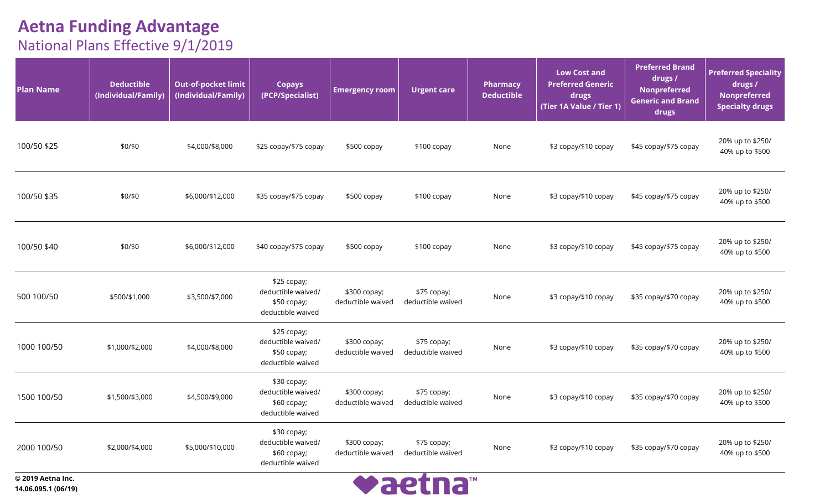| <b>Plan Name</b> | <b>Deductible</b><br>(Individual/Family) | <b>Out-of-pocket limit</b><br>(Individual/Family) | <b>Copays</b><br>(PCP/Specialist)                                      | <b>Emergency room</b>             | <b>Urgent care</b>               | <b>Pharmacy</b><br><b>Deductible</b> | Low Cost and<br><b>Preferred Generic</b><br>drugs<br>(Tier 1A Value / Tier 1) | <b>Preferred Brand</b><br>drugs /<br>Nonpreferred<br><b>Generic and Brand</b><br>drugs | <b>Preferred Speciality</b><br>drugs /<br>Nonpreferred<br><b>Specialty drugs</b> |
|------------------|------------------------------------------|---------------------------------------------------|------------------------------------------------------------------------|-----------------------------------|----------------------------------|--------------------------------------|-------------------------------------------------------------------------------|----------------------------------------------------------------------------------------|----------------------------------------------------------------------------------|
| 100/50 \$25      | \$0/\$0                                  | \$4,000/\$8,000                                   | \$25 copay/\$75 copay                                                  | \$500 copay                       | \$100 copay                      | None                                 | \$3 copay/\$10 copay                                                          | \$45 copay/\$75 copay                                                                  | 20% up to \$250/<br>40% up to \$500                                              |
| 100/50 \$35      | \$0/\$0                                  | \$6,000/\$12,000                                  | \$35 copay/\$75 copay                                                  | \$500 copay                       | \$100 copay                      | None                                 | \$3 copay/\$10 copay                                                          | \$45 copay/\$75 copay                                                                  | 20% up to \$250/<br>40% up to \$500                                              |
| 100/50 \$40      | \$0/\$0                                  | \$6,000/\$12,000                                  | \$40 copay/\$75 copay                                                  | \$500 copay                       | \$100 copay                      | None                                 | \$3 copay/\$10 copay                                                          | \$45 copay/\$75 copay                                                                  | 20% up to \$250/<br>40% up to \$500                                              |
| 500 100/50       | \$500/\$1,000                            | \$3,500/\$7,000                                   | \$25 copay;<br>deductible waived/<br>\$50 copay;<br>deductible waived  | \$300 copay;<br>deductible waived | \$75 copay;<br>deductible waived | None                                 | \$3 copay/\$10 copay                                                          | \$35 copay/\$70 copay                                                                  | 20% up to \$250/<br>40% up to \$500                                              |
| 1000 100/50      | \$1,000/\$2,000                          | \$4,000/\$8,000                                   | \$25 copay;<br>deductible waived/<br>\$50 copay;<br>deductible waived  | \$300 copay;<br>deductible waived | \$75 copay;<br>deductible waived | None                                 | \$3 copay/\$10 copay                                                          | \$35 copay/\$70 copay                                                                  | 20% up to \$250/<br>40% up to \$500                                              |
| 1500 100/50      | \$1,500/\$3,000                          | \$4,500/\$9,000                                   | \$30 copay;<br>deductible waived/<br>\$60 copay;<br>deductible waived  | \$300 copay;<br>deductible waived | \$75 copay;<br>deductible waived | None                                 | \$3 copay/\$10 copay                                                          | \$35 copay/\$70 copay                                                                  | 20% up to \$250/<br>40% up to \$500                                              |
| 2000 100/50      | \$2,000/\$4,000                          | \$5,000/\$10,000                                  | \$30 copay;<br>deductible waived/<br>$$60$ copay;<br>deductible waived | \$300 copay;<br>deductible waived | \$75 copay;<br>deductible waived | None                                 | \$3 copay/\$10 copay                                                          | \$35 copay/\$70 copay                                                                  | 20% up to \$250/<br>40% up to \$500                                              |
|                  |                                          |                                                   |                                                                        | $\sim$ $\sim$                     |                                  |                                      |                                                                               |                                                                                        |                                                                                  |

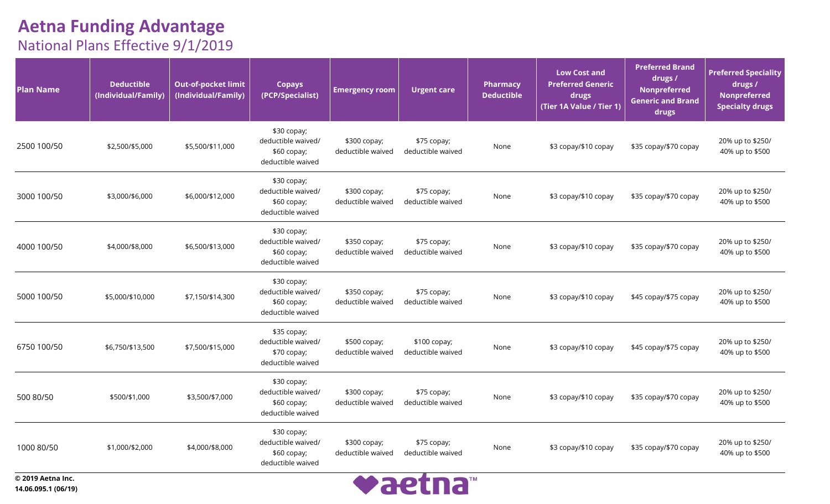| <b>Plan Name</b>  | <b>Deductible</b><br>(Individual/Family) | <b>Out-of-pocket limit</b><br>(Individual/Family) | <b>Copays</b><br>(PCP/Specialist)                                      | <b>Emergency room</b>             | <b>Urgent care</b>                | Pharmacy<br><b>Deductible</b> | <b>Low Cost and</b><br><b>Preferred Generic</b><br>drugs<br>(Tier_1A Value / Tier 1) | <b>Preferred Brand</b><br>drugs /<br>Nonpreferred<br><b>Generic and Brand</b><br>drugs | <b>Preferred Speciality</b><br>drugs /<br><b>Nonpreferred</b><br><b>Specialty drugs</b> |
|-------------------|------------------------------------------|---------------------------------------------------|------------------------------------------------------------------------|-----------------------------------|-----------------------------------|-------------------------------|--------------------------------------------------------------------------------------|----------------------------------------------------------------------------------------|-----------------------------------------------------------------------------------------|
| 2500 100/50       | \$2,500/\$5,000                          | \$5,500/\$11,000                                  | \$30 copay;<br>deductible waived/<br>\$60 copay;<br>deductible waived  | \$300 copay;<br>deductible waived | \$75 copay;<br>deductible waived  | None                          | \$3 copay/\$10 copay                                                                 | \$35 copay/\$70 copay                                                                  | 20% up to \$250/<br>40% up to \$500                                                     |
| 3000 100/50       | \$3,000/\$6,000                          | \$6,000/\$12,000                                  | \$30 copay;<br>deductible waived/<br>$$60$ copay;<br>deductible waived | \$300 copay;<br>deductible waived | \$75 copay;<br>deductible waived  | None                          | \$3 copay/\$10 copay                                                                 | \$35 copay/\$70 copay                                                                  | 20% up to \$250/<br>40% up to \$500                                                     |
| 4000 100/50       | \$4,000/\$8,000                          | \$6,500/\$13,000                                  | \$30 copay;<br>deductible waived/<br>\$60 copay;<br>deductible waived  | \$350 copay;<br>deductible waived | \$75 copay;<br>deductible waived  | None                          | \$3 copay/\$10 copay                                                                 | \$35 copay/\$70 copay                                                                  | 20% up to \$250/<br>40% up to \$500                                                     |
| 5000 100/50       | \$5,000/\$10,000                         | \$7,150/\$14,300                                  | \$30 copay;<br>deductible waived/<br>$$60$ copay;<br>deductible waived | \$350 copay;<br>deductible waived | \$75 copay;<br>deductible waived  | None                          | \$3 copay/\$10 copay                                                                 | \$45 copay/\$75 copay                                                                  | 20% up to \$250/<br>40% up to \$500                                                     |
| 6750 100/50       | \$6,750/\$13,500                         | \$7,500/\$15,000                                  | \$35 copay;<br>deductible waived/<br>\$70 copay;<br>deductible waived  | \$500 copay;<br>deductible waived | \$100 copay;<br>deductible waived | None                          | \$3 copay/\$10 copay                                                                 | \$45 copay/\$75 copay                                                                  | 20% up to \$250/<br>40% up to \$500                                                     |
| 500 80/50         | \$500/\$1,000                            | \$3,500/\$7,000                                   | \$30 copay;<br>deductible waived/<br>$$60$ copay;<br>deductible waived | \$300 copay;<br>deductible waived | \$75 copay;<br>deductible waived  | None                          | \$3 copay/\$10 copay                                                                 | \$35 copay/\$70 copay                                                                  | 20% up to \$250/<br>40% up to \$500                                                     |
| 1000 80/50        | \$1,000/\$2,000                          | \$4,000/\$8,000                                   | \$30 copay;<br>deductible waived/<br>\$60 copay;<br>deductible waived  | \$300 copay;<br>deductible waived | \$75 copay;<br>deductible waived  | None                          | \$3 copay/\$10 copay                                                                 | \$35 copay/\$70 copay                                                                  | 20% up to \$250/<br>40% up to \$500                                                     |
| © 2019 Aetna Inc. |                                          |                                                   |                                                                        |                                   | <b>IN A CHAIR OF THE STATE</b>    |                               |                                                                                      |                                                                                        |                                                                                         |

**14.06.095.1 (06/19)**

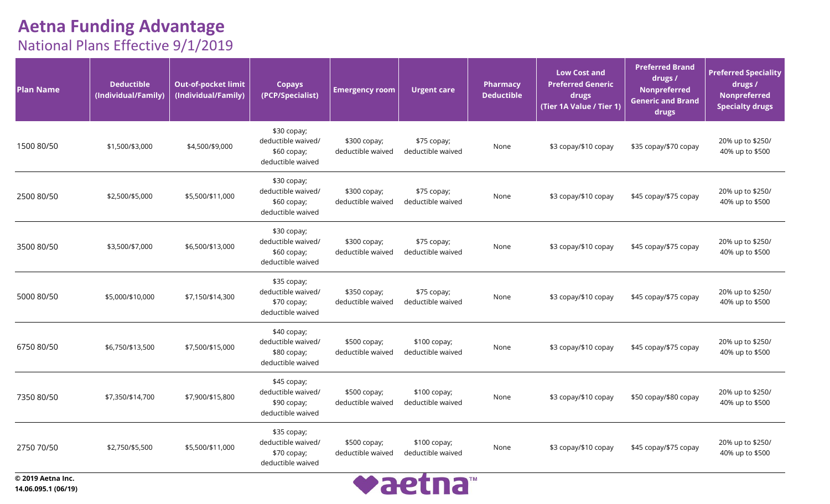| <b>Plan Name</b>  | <b>Deductible</b><br>(Individual/Family) | <b>Out-of-pocket limit</b><br>(Individual/Family) | <b>Copays</b><br>(PCP/Specialist)                                      | <b>Emergency room</b>             | <b>Urgent care</b>                 | Pharmacy<br><b>Deductible</b> | <b>Low Cost and</b><br><b>Preferred Generic</b><br>drugs<br>(Tier 1A Value / Tier 1) | <b>Preferred Brand</b><br>drugs /<br><b>Nonpreferred</b><br><b>Generic and Brand</b><br>drugs | <b>Preferred Speciality</b><br>drugs /<br><b>Nonpreferred</b><br><b>Specialty drugs</b> |
|-------------------|------------------------------------------|---------------------------------------------------|------------------------------------------------------------------------|-----------------------------------|------------------------------------|-------------------------------|--------------------------------------------------------------------------------------|-----------------------------------------------------------------------------------------------|-----------------------------------------------------------------------------------------|
| 1500 80/50        | \$1,500/\$3,000                          | \$4,500/\$9,000                                   | \$30 copay;<br>deductible waived/<br>\$60 copay;<br>deductible waived  | \$300 copay;<br>deductible waived | \$75 copay;<br>deductible waived   | None                          | \$3 copay/\$10 copay                                                                 | \$35 copay/\$70 copay                                                                         | 20% up to \$250/<br>40% up to \$500                                                     |
| 2500 80/50        | \$2,500/\$5,000                          | \$5,500/\$11,000                                  | $$30$ copay;<br>deductible waived/<br>\$60 copay;<br>deductible waived | \$300 copay;<br>deductible waived | \$75 copay;<br>deductible waived   | None                          | \$3 copay/\$10 copay                                                                 | \$45 copay/\$75 copay                                                                         | 20% up to \$250/<br>40% up to \$500                                                     |
| 3500 80/50        | \$3,500/\$7,000                          | \$6,500/\$13,000                                  | \$30 copay;<br>deductible waived/<br>\$60 copay;<br>deductible waived  | \$300 copay;<br>deductible waived | \$75 copay;<br>deductible waived   | None                          | \$3 copay/\$10 copay                                                                 | \$45 copay/\$75 copay                                                                         | 20% up to \$250/<br>40% up to \$500                                                     |
| 5000 80/50        | \$5,000/\$10,000                         | \$7,150/\$14,300                                  | \$35 copay;<br>deductible waived/<br>\$70 copay;<br>deductible waived  | \$350 copay;<br>deductible waived | \$75 copay;<br>deductible waived   | None                          | \$3 copay/\$10 copay                                                                 | \$45 copay/\$75 copay                                                                         | 20% up to \$250/<br>40% up to \$500                                                     |
| 6750 80/50        | \$6,750/\$13,500                         | \$7,500/\$15,000                                  | \$40 copay;<br>deductible waived/<br>\$80 copay;<br>deductible waived  | \$500 copay;<br>deductible waived | \$100 copay;<br>deductible waived  | None                          | \$3 copay/\$10 copay                                                                 | \$45 copay/\$75 copay                                                                         | 20% up to \$250/<br>40% up to \$500                                                     |
| 7350 80/50        | \$7,350/\$14,700                         | \$7,900/\$15,800                                  | \$45 copay;<br>deductible waived/<br>\$90 copay;<br>deductible waived  | \$500 copay;<br>deductible waived | $$100$ copay;<br>deductible waived | None                          | \$3 copay/\$10 copay                                                                 | \$50 copay/\$80 copay                                                                         | 20% up to \$250/<br>40% up to \$500                                                     |
| 2750 70/50        | \$2,750/\$5,500                          | \$5,500/\$11,000                                  | \$35 copay;<br>deductible waived/<br>\$70 copay;<br>deductible waived  | \$500 copay;<br>deductible waived | \$100 copay;<br>deductible waived  | None                          | \$3 copay/\$10 copay                                                                 | \$45 copay/\$75 copay                                                                         | 20% up to \$250/<br>40% up to \$500                                                     |
| © 2019 Aetna Inc. |                                          |                                                   |                                                                        |                                   | <b>IN A CHAIR OF THE STATE</b>     |                               |                                                                                      |                                                                                               |                                                                                         |

**14.06.095.1 (06/19)**

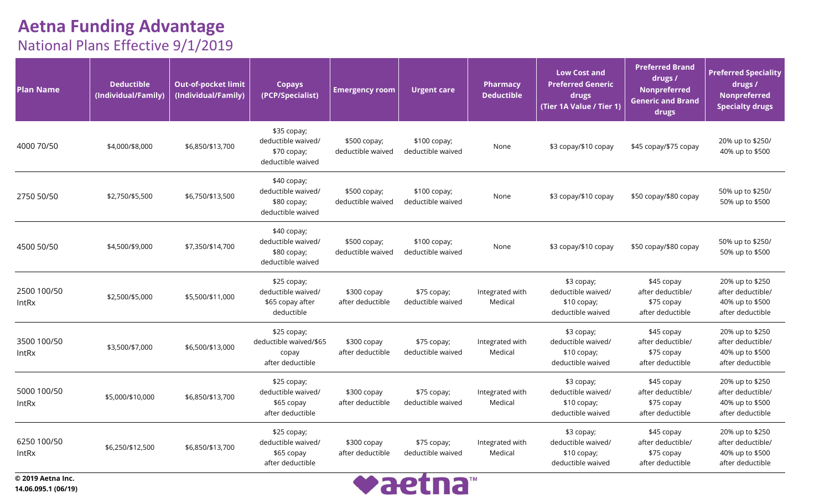| <b>Plan Name</b>            | <b>Deductible</b><br>(Individual/Family) | <b>Out-of-pocket limit</b><br>(Individual/Family) | <b>Copays</b><br>(PCP/Specialist)                                     | <b>Emergency room</b>             | <b>Urgent care</b>                 | Pharmacy<br><b>Deductible</b> | <b>Low Cost and</b><br><b>Preferred Generic</b><br>drugs<br>(Tier 1A Value / Tier 1) | <b>Preferred Brand</b><br>drugs /<br><b>Nonpreferred</b><br><b>Generic and Brand</b><br>drugs | <b>Preferred Speciality</b><br>drugs /<br><b>Nonpreferred</b><br><b>Specialty drugs</b> |
|-----------------------------|------------------------------------------|---------------------------------------------------|-----------------------------------------------------------------------|-----------------------------------|------------------------------------|-------------------------------|--------------------------------------------------------------------------------------|-----------------------------------------------------------------------------------------------|-----------------------------------------------------------------------------------------|
| 4000 70/50                  | \$4,000/\$8,000                          | \$6,850/\$13,700                                  | \$35 copay;<br>deductible waived/<br>\$70 copay;<br>deductible waived | \$500 copay;<br>deductible waived | $$100$ copay;<br>deductible waived | None                          | \$3 copay/\$10 copay                                                                 | \$45 copay/\$75 copay                                                                         | 20% up to \$250/<br>40% up to \$500                                                     |
| 2750 50/50                  | \$2,750/\$5,500                          | \$6,750/\$13,500                                  | \$40 copay;<br>deductible waived/<br>\$80 copay;<br>deductible waived | \$500 copay;<br>deductible waived | \$100 copay;<br>deductible waived  | None                          | \$3 copay/\$10 copay                                                                 | \$50 copay/\$80 copay                                                                         | 50% up to \$250/<br>50% up to \$500                                                     |
| 4500 50/50                  | \$4,500/\$9,000                          | \$7,350/\$14,700                                  | \$40 copay;<br>deductible waived/<br>\$80 copay;<br>deductible waived | \$500 copay;<br>deductible waived | $$100$ copay;<br>deductible waived | None                          | \$3 copay/\$10 copay                                                                 | \$50 copay/\$80 copay                                                                         | 50% up to \$250/<br>50% up to \$500                                                     |
| 2500 100/50<br>IntRx        | \$2,500/\$5,000                          | \$5,500/\$11,000                                  | \$25 copay;<br>deductible waived/<br>\$65 copay after<br>deductible   | $$300$ copay<br>after deductible  | \$75 copay;<br>deductible waived   | Integrated with<br>Medical    | \$3 copay;<br>deductible waived/<br>\$10 copay;<br>deductible waived                 | \$45 copay<br>after deductible/<br>\$75 copay<br>after deductible                             | 20% up to \$250<br>after deductible/<br>40% up to \$500<br>after deductible             |
| 3500 100/50<br><b>IntRx</b> | \$3,500/\$7,000                          | \$6,500/\$13,000                                  | \$25 copay;<br>deductible waived/\$65<br>copay<br>after deductible    | \$300 copay<br>after deductible   | \$75 copay;<br>deductible waived   | Integrated with<br>Medical    | \$3 copay;<br>deductible waived/<br>\$10 copay;<br>deductible waived                 | \$45 copay<br>after deductible/<br>\$75 copay<br>after deductible                             | 20% up to \$250<br>after deductible/<br>40% up to \$500<br>after deductible             |
| 5000 100/50<br><b>IntRx</b> | \$5,000/\$10,000                         | \$6,850/\$13,700                                  | \$25 copay;<br>deductible waived/<br>\$65 copay<br>after deductible   | \$300 copay<br>after deductible   | \$75 copay;<br>deductible waived   | Integrated with<br>Medical    | \$3 copay;<br>deductible waived/<br>\$10 copay;<br>deductible waived                 | \$45 copay<br>after deductible/<br>\$75 copay<br>after deductible                             | 20% up to \$250<br>after deductible/<br>40% up to \$500<br>after deductible             |
| 6250 100/50<br><b>IntRx</b> | \$6,250/\$12,500                         | \$6,850/\$13,700                                  | \$25 copay;<br>deductible waived/<br>\$65 copay<br>after deductible   | \$300 copay<br>after deductible   | \$75 copay;<br>deductible waived   | Integrated with<br>Medical    | \$3 copay;<br>deductible waived/<br>$$10$ copay;<br>deductible waived                | \$45 copay<br>after deductible/<br>\$75 copay<br>after deductible                             | 20% up to \$250<br>after deductible/<br>40% up to \$500<br>after deductible             |

**© 2019 Aetna Inc. 14.06.095.1 (06/19)**

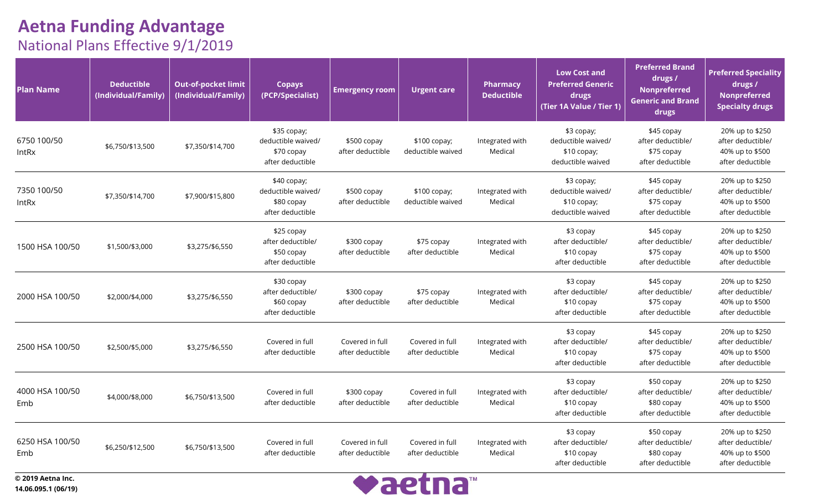| <b>Plan Name</b>       | <b>Deductible</b><br>(Individual/Family) | <b>Out-of-pocket limit</b><br>(Individual/Family) | <b>Copays</b><br>(PCP/Specialist)                                    | <b>Emergency room</b>               | <b>Urgent care</b>                  | <b>Pharmacy</b><br><b>Deductible</b> | <b>Low Cost and</b><br><b>Preferred Generic</b><br>drugs<br>(Tier 1A Value / Tier 1) | <b>Preferred Brand</b><br>drugs /<br><b>Nonpreferred</b><br><b>Generic and Brand</b><br>drugs | <b>Preferred Speciality</b><br>drugs /<br>Nonpreferred<br><b>Specialty drugs</b> |
|------------------------|------------------------------------------|---------------------------------------------------|----------------------------------------------------------------------|-------------------------------------|-------------------------------------|--------------------------------------|--------------------------------------------------------------------------------------|-----------------------------------------------------------------------------------------------|----------------------------------------------------------------------------------|
| 6750 100/50<br>IntRx   | \$6,750/\$13,500                         | \$7,350/\$14,700                                  | \$35 copay;<br>deductible waived/<br>\$70 copay<br>after deductible  | \$500 copay<br>after deductible     | $$100$ copay;<br>deductible waived  | Integrated with<br>Medical           | \$3 copay;<br>deductible waived/<br>$$10$ copay;<br>deductible waived                | \$45 copay<br>after deductible/<br>\$75 copay<br>after deductible                             | 20% up to \$250<br>after deductible/<br>40% up to \$500<br>after deductible      |
| 7350 100/50<br>IntRx   | \$7,350/\$14,700                         | \$7,900/\$15,800                                  | $$40$ copay;<br>deductible waived/<br>\$80 copay<br>after deductible | \$500 copay<br>after deductible     | $$100$ copay;<br>deductible waived  | Integrated with<br>Medical           | \$3 copay;<br>deductible waived/<br>\$10 copay;<br>deductible waived                 | \$45 copay<br>after deductible/<br>\$75 copay<br>after deductible                             | 20% up to \$250<br>after deductible/<br>40% up to \$500<br>after deductible      |
| 1500 HSA 100/50        | \$1,500/\$3,000                          | \$3,275/\$6,550                                   | \$25 copay<br>after deductible/<br>\$50 copay<br>after deductible    | \$300 copay<br>after deductible     | \$75 copay<br>after deductible      | Integrated with<br>Medical           | \$3 copay<br>after deductible/<br>\$10 copay<br>after deductible                     | \$45 copay<br>after deductible/<br>\$75 copay<br>after deductible                             | 20% up to \$250<br>after deductible/<br>40% up to \$500<br>after deductible      |
| 2000 HSA 100/50        | \$2,000/\$4,000                          | \$3,275/\$6,550                                   | \$30 copay<br>after deductible/<br>\$60 copay<br>after deductible    | \$300 copay<br>after deductible     | \$75 copay<br>after deductible      | Integrated with<br>Medical           | \$3 copay<br>after deductible/<br>\$10 copay<br>after deductible                     | \$45 copay<br>after deductible/<br>\$75 copay<br>after deductible                             | 20% up to \$250<br>after deductible/<br>40% up to \$500<br>after deductible      |
| 2500 HSA 100/50        | \$2,500/\$5,000                          | \$3,275/\$6,550                                   | Covered in full<br>after deductible                                  | Covered in full<br>after deductible | Covered in full<br>after deductible | Integrated with<br>Medical           | \$3 copay<br>after deductible/<br>\$10 copay<br>after deductible                     | \$45 copay<br>after deductible/<br>\$75 copay<br>after deductible                             | 20% up to \$250<br>after deductible/<br>40% up to \$500<br>after deductible      |
| 4000 HSA 100/50<br>Emb | \$4,000/\$8,000                          | \$6,750/\$13,500                                  | Covered in full<br>after deductible                                  | \$300 copay<br>after deductible     | Covered in full<br>after deductible | Integrated with<br>Medical           | \$3 copay<br>after deductible/<br>\$10 copay<br>after deductible                     | \$50 copay<br>after deductible/<br>\$80 copay<br>after deductible                             | 20% up to \$250<br>after deductible/<br>40% up to \$500<br>after deductible      |
| 6250 HSA 100/50<br>Emb | \$6,250/\$12,500                         | \$6,750/\$13,500                                  | Covered in full<br>after deductible                                  | Covered in full<br>after deductible | Covered in full<br>after deductible | Integrated with<br>Medical           | \$3 copay<br>after deductible/<br>\$10 copay<br>after deductible                     | \$50 copay<br>after deductible/<br>\$80 copay<br>after deductible                             | 20% up to \$250<br>after deductible/<br>40% up to \$500<br>after deductible      |

**© 2019 Aetna Inc. 14.06.095.1 (06/19)**

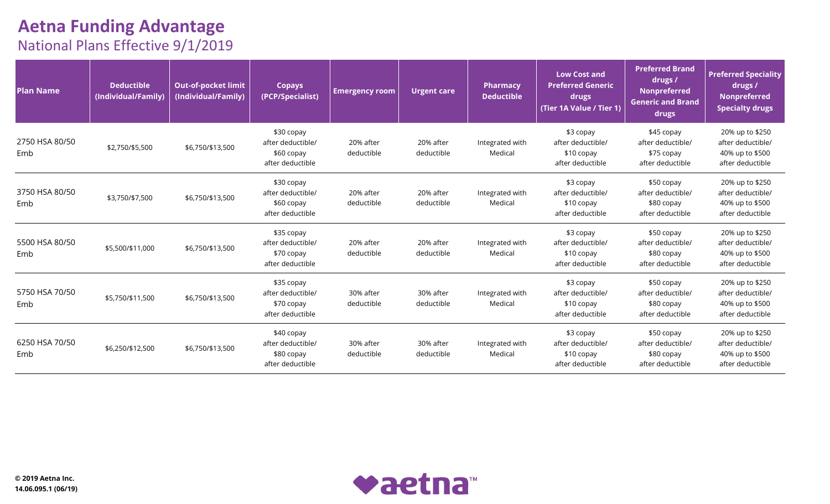| <b>Plan Name</b>      | <b>Deductible</b><br>(Individual/Family) | <b>Out-of-pocket limit</b><br>(Individual/Family) | <b>Copays</b><br>(PCP/Specialist)                                 | <b>Emergency room</b>   | <b>Urgent care</b>      | <b>Pharmacy</b><br><b>Deductible</b> | <b>Low Cost and</b><br><b>Preferred Generic</b><br>drugs<br>(Tier 1A Value / Tier 1) | <b>Preferred Brand</b><br>drugs /<br><b>Nonpreferred</b><br><b>Generic and Brand</b><br>drugs | <b>Preferred Speciality</b><br>drugs /<br><b>Nonpreferred</b><br><b>Specialty drugs</b> |
|-----------------------|------------------------------------------|---------------------------------------------------|-------------------------------------------------------------------|-------------------------|-------------------------|--------------------------------------|--------------------------------------------------------------------------------------|-----------------------------------------------------------------------------------------------|-----------------------------------------------------------------------------------------|
| 2750 HSA 80/50<br>Emb | \$2,750/\$5,500                          | \$6,750/\$13,500                                  | \$30 copay<br>after deductible/<br>\$60 copay<br>after deductible | 20% after<br>deductible | 20% after<br>deductible | Integrated with<br>Medical           | \$3 copay<br>after deductible/<br>\$10 copay<br>after deductible                     | \$45 copay<br>after deductible/<br>\$75 copay<br>after deductible                             | 20% up to \$250<br>after deductible/<br>40% up to \$500<br>after deductible             |
| 3750 HSA 80/50<br>Emb | \$3,750/\$7,500                          | \$6,750/\$13,500                                  | \$30 copay<br>after deductible/<br>\$60 copay<br>after deductible | 20% after<br>deductible | 20% after<br>deductible | Integrated with<br>Medical           | \$3 copay<br>after deductible/<br>\$10 copay<br>after deductible                     | \$50 copay<br>after deductible/<br>\$80 copay<br>after deductible                             | 20% up to \$250<br>after deductible/<br>40% up to \$500<br>after deductible             |
| 5500 HSA 80/50<br>Emb | \$5,500/\$11,000                         | \$6,750/\$13,500                                  | \$35 copay<br>after deductible/<br>\$70 copay<br>after deductible | 20% after<br>deductible | 20% after<br>deductible | Integrated with<br>Medical           | \$3 copay<br>after deductible/<br>\$10 copay<br>after deductible                     | \$50 copay<br>after deductible/<br>\$80 copay<br>after deductible                             | 20% up to \$250<br>after deductible/<br>40% up to \$500<br>after deductible             |
| 5750 HSA 70/50<br>Emb | \$5,750/\$11,500                         | \$6,750/\$13,500                                  | \$35 copay<br>after deductible/<br>\$70 copay<br>after deductible | 30% after<br>deductible | 30% after<br>deductible | Integrated with<br>Medical           | \$3 copay<br>after deductible/<br>\$10 copay<br>after deductible                     | \$50 copay<br>after deductible/<br>\$80 copay<br>after deductible                             | 20% up to \$250<br>after deductible/<br>40% up to \$500<br>after deductible             |
| 6250 HSA 70/50<br>Emb | \$6,250/\$12,500                         | \$6,750/\$13,500                                  | \$40 copay<br>after deductible/<br>\$80 copay<br>after deductible | 30% after<br>deductible | 30% after<br>deductible | Integrated with<br>Medical           | \$3 copay<br>after deductible/<br>\$10 copay<br>after deductible                     | \$50 copay<br>after deductible/<br>\$80 copay<br>after deductible                             | 20% up to \$250<br>after deductible/<br>40% up to \$500<br>after deductible             |